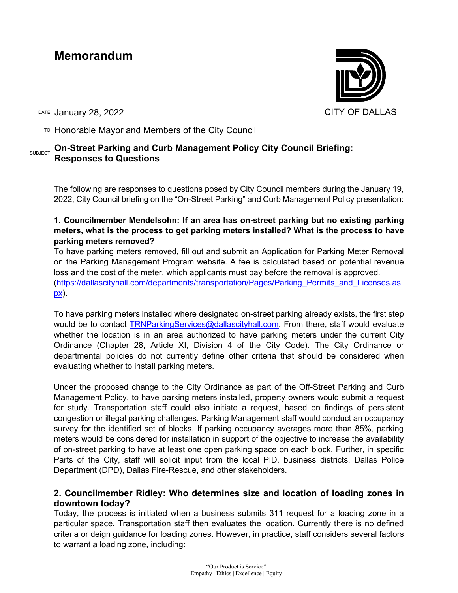# **Memorandum**

DATE January 28, 2022 **CITY OF DALLAS** 

 $T$ <sup>O</sup> Honorable Mayor and Members of the City Council

# SUBJECT **On-Street Parking and Curb Management Policy City Council Briefing: Responses to Questions**

The following are responses to questions posed by City Council members during the January 19, 2022, City Council briefing on the "On-Street Parking" and Curb Management Policy presentation:

**1. Councilmember Mendelsohn: If an area has on-street parking but no existing parking meters, what is the process to get parking meters installed? What is the process to have parking meters removed?** 

To have parking meters removed, fill out and submit an Application for Parking Meter Removal on the Parking Management Program website. A fee is calculated based on potential revenue loss and the cost of the meter, which applicants must pay before the removal is approved. [\(https://dallascityhall.com/departments/transportation/Pages/Parking\\_Permits\\_and\\_Licenses.as](https://dallascityhall.com/departments/transportation/Pages/Parking_Permits_and_Licenses.aspx) [px\)](https://dallascityhall.com/departments/transportation/Pages/Parking_Permits_and_Licenses.aspx).

To have parking meters installed where designated on-street parking already exists, the first step would be to contact **TRNParkingServices@dallascityhall.com**. From there, staff would evaluate whether the location is in an area authorized to have parking meters under the current City Ordinance (Chapter 28, Article XI, Division 4 of the City Code). The City Ordinance or departmental policies do not currently define other criteria that should be considered when evaluating whether to install parking meters.

Under the proposed change to the City Ordinance as part of the Off-Street Parking and Curb Management Policy, to have parking meters installed, property owners would submit a request for study. Transportation staff could also initiate a request, based on findings of persistent congestion or illegal parking challenges. Parking Management staff would conduct an occupancy survey for the identified set of blocks. If parking occupancy averages more than 85%, parking meters would be considered for installation in support of the objective to increase the availability of on-street parking to have at least one open parking space on each block. Further, in specific Parts of the City, staff will solicit input from the local PID, business districts, Dallas Police Department (DPD), Dallas Fire-Rescue, and other stakeholders.

# **2. Councilmember Ridley: Who determines size and location of loading zones in downtown today?**

Today, the process is initiated when a business submits 311 request for a loading zone in a particular space. Transportation staff then evaluates the location. Currently there is no defined criteria or deign guidance for loading zones. However, in practice, staff considers several factors to warrant a loading zone, including:

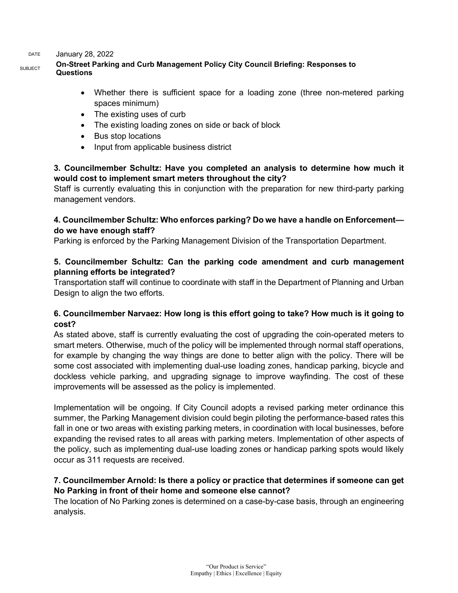DATE January 28, 2022

### **SUBJECT** On-Street Parking and Curb Management Policy City Council Briefing: Responses to **Questions**

- Whether there is sufficient space for a loading zone (three non-metered parking spaces minimum)
- The existing uses of curb
- The existing loading zones on side or back of block
- Bus stop locations
- Input from applicable business district

# **3. Councilmember Schultz: Have you completed an analysis to determine how much it would cost to implement smart meters throughout the city?**

Staff is currently evaluating this in conjunction with the preparation for new third-party parking management vendors.

# **4. Councilmember Schultz: Who enforces parking? Do we have a handle on Enforcement do we have enough staff?**

Parking is enforced by the Parking Management Division of the Transportation Department.

### **5. Councilmember Schultz: Can the parking code amendment and curb management planning efforts be integrated?**

Transportation staff will continue to coordinate with staff in the Department of Planning and Urban Design to align the two efforts.

### **6. Councilmember Narvaez: How long is this effort going to take? How much is it going to cost?**

As stated above, staff is currently evaluating the cost of upgrading the coin-operated meters to smart meters. Otherwise, much of the policy will be implemented through normal staff operations, for example by changing the way things are done to better align with the policy. There will be some cost associated with implementing dual-use loading zones, handicap parking, bicycle and dockless vehicle parking, and upgrading signage to improve wayfinding. The cost of these improvements will be assessed as the policy is implemented.

Implementation will be ongoing. If City Council adopts a revised parking meter ordinance this summer, the Parking Management division could begin piloting the performance-based rates this fall in one or two areas with existing parking meters, in coordination with local businesses, before expanding the revised rates to all areas with parking meters. Implementation of other aspects of the policy, such as implementing dual-use loading zones or handicap parking spots would likely occur as 311 requests are received.

### **7. Councilmember Arnold: Is there a policy or practice that determines if someone can get No Parking in front of their home and someone else cannot?**

The location of No Parking zones is determined on a case-by-case basis, through an engineering analysis.

> "Our Product is Service" Empathy | Ethics | Excellence | Equity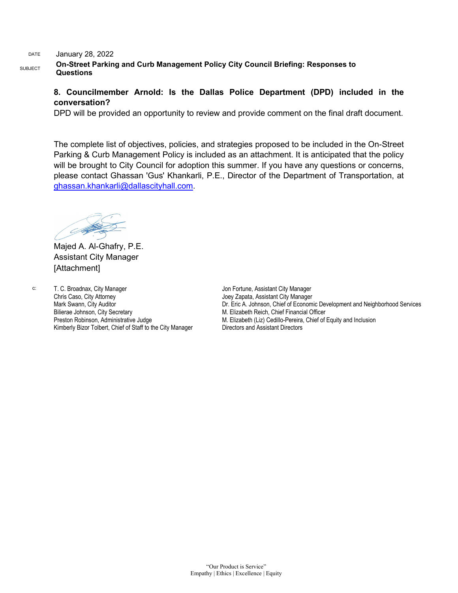#### DATE January 28, 2022

**SUBJECT** On-Street Parking and Curb Management Policy City Council Briefing: Responses to **Questions**

### **8. Councilmember Arnold: Is the Dallas Police Department (DPD) included in the conversation?**

DPD will be provided an opportunity to review and provide comment on the final draft document.

The complete list of objectives, policies, and strategies proposed to be included in the On-Street Parking & Curb Management Policy is included as an attachment. It is anticipated that the policy will be brought to City Council for adoption this summer. If you have any questions or concerns, please contact Ghassan 'Gus' Khankarli, P.E., Director of the Department of Transportation, at [ghassan.khankarli@dallascityhall.com.](mailto:ghassan.khankarli@dallascityhall.com)

Majed A. Al-Ghafry, P.E. Assistant City Manager [Attachment]

c: T. C. Broadnax, City Manager Chris Caso, City Attorney Mark Swann, City Auditor Bilierae Johnson, City Secretary Preston Robinson, Administrative Judge Kimberly Bizor Tolbert, Chief of Staff to the City Manager

Jon Fortune, Assistant City Manager Joey Zapata, Assistant City Manager Dr. Eric A. Johnson, Chief of Economic Development and Neighborhood Services M. Elizabeth Reich, Chief Financial Officer M. Elizabeth (Liz) Cedillo-Pereira, Chief of Equity and Inclusion Directors and Assistant Directors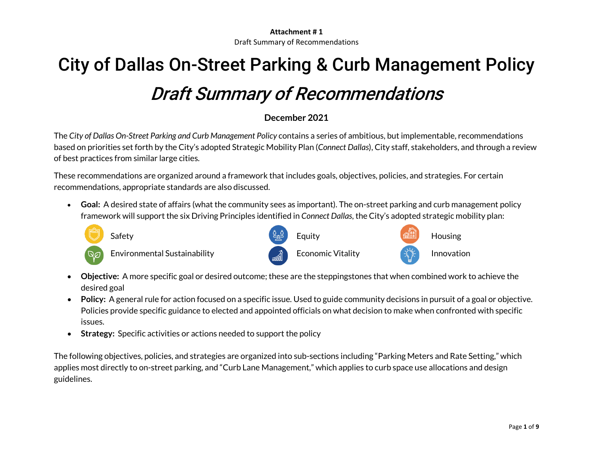# City of Dallas On-Street Parking & Curb Management Policy Draft Summary of Recommendations

# **December 2021**

The *City of Dallas On-Street Parking and Curb Management Policy* contains a series of ambitious, but implementable, recommendations based on priorities set forth by the City's adopted Strategic Mobility Plan (*Connect Dallas*), City staff, stakeholders, and through a review of best practices from similar large cities.

These recommendations are organized around a framework that includes goals, objectives, policies, and strategies. For certain recommendations, appropriate standards are also discussed.

• **Goal:** A desired state of affairs (what the community sees as important). The on-street parking and curb management policy framework will support the six Driving Principles identified in *Connect Dallas*, the City's adopted strategic mobility plan:



Environmental Sustainability **Example 20** A Economic Vitality **Innovation** 







- **Objective:** A more specific goal or desired outcome; these are the steppingstones that when combined work to achieve the desired goal
- **Policy:** A general rule for action focused on a specific issue. Used to guide community decisions in pursuit of a goal or objective. Policies provide specific guidance to elected and appointed officials on what decision to make when confronted with specific issues.
- **Strategy:** Specific activities or actions needed to support the policy

The following objectives, policies, and strategies are organized into sub-sections including "Parking Meters and Rate Setting," which applies most directly to on-street parking, and "Curb Lane Management," which applies to curb space use allocations and design guidelines.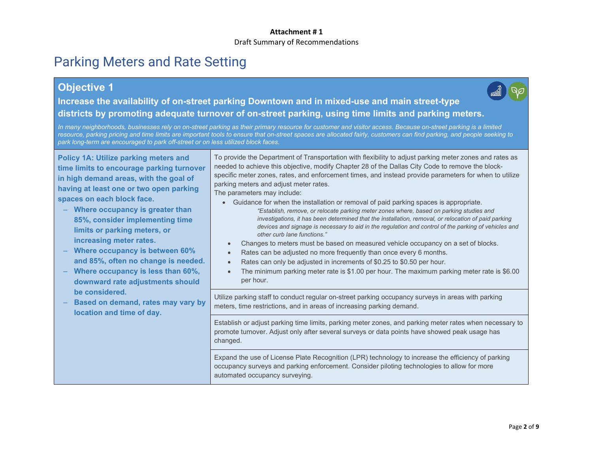# Parking Meters and Rate Setting

# **Objective 1**



**Increase the availability of on-street parking Downtown and in mixed-use and main street-type districts by promoting adequate turnover of on-street parking, using time limits and parking meters.**

*In many neighborhoods, businesses rely on on-street parking as their primary resource for customer and visitor access. Because on-street parking is a limited resource, parking pricing and time limits are important tools to ensure that on-street spaces are allocated fairly, customers can find parking, and people seeking to park long-term are encouraged to park off-street or on less utilized block faces.*

**Policy 1A: Utilize parking meters and time limits to encourage parking turnover in high demand areas, with the goal of having at least one or two open parking spaces on each block face.** – **Where occupancy is greater than 85%, consider implementing time limits or parking meters, or increasing meter rates.** – **Where occupancy is between 60% and 85%, often no change is needed.** – **Where occupancy is less than 60%, downward rate adjustments should be considered.** – **Based on demand, rates may vary by location and time of day.** To provide the Department of Transportation with flexibility to adjust parking meter zones and rates as needed to achieve this objective, modify Chapter 28 of the Dallas City Code to remove the blockspecific meter zones, rates, and enforcement times, and instead provide parameters for when to utilize parking meters and adjust meter rates. The parameters may include: • Guidance for when the installation or removal of paid parking spaces is appropriate. *"Establish, remove, or relocate parking meter zones where, based on parking studies and investigations, it has been determined that the installation, removal, or relocation of paid parking devices and signage is necessary to aid in the regulation and control of the parking of vehicles and other curb lane functions."* • Changes to meters must be based on measured vehicle occupancy on a set of blocks. Rates can be adjusted no more frequently than once every 6 months. Rates can only be adjusted in increments of \$0.25 to \$0.50 per hour. • The minimum parking meter rate is \$1.00 per hour. The maximum parking meter rate is \$6.00 per hour. Utilize parking staff to conduct regular on-street parking occupancy surveys in areas with parking meters, time restrictions, and in areas of increasing parking demand. Establish or adjust parking time limits, parking meter zones, and parking meter rates when necessary to promote turnover. Adjust only after several surveys or data points have showed peak usage has changed. Expand the use of License Plate Recognition (LPR) technology to increase the efficiency of parking occupancy surveys and parking enforcement. Consider piloting technologies to allow for more automated occupancy surveying.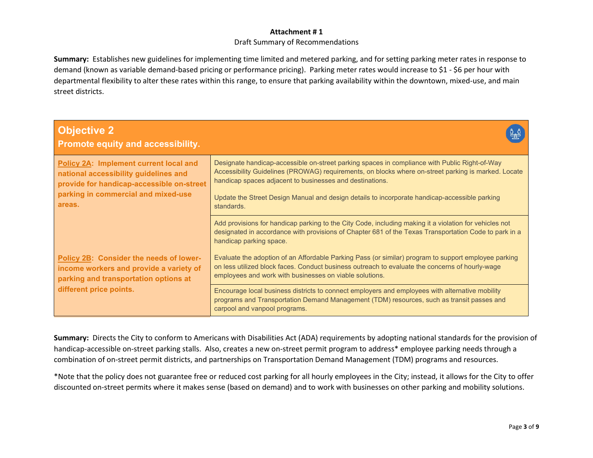#### **Attachment # 1**

#### Draft Summary of Recommendations

**Summary:** Establishes new guidelines for implementing time limited and metered parking, and for setting parking meter rates in response to demand (known as variable demand-based pricing or performance pricing). Parking meter rates would increase to \$1 - \$6 per hour with departmental flexibility to alter these rates within this range, to ensure that parking availability within the downtown, mixed-use, and main street districts.

| <b>Objective 2</b><br>Promote equity and accessibility.                                                                                                                       |                                                                                                                                                                                                                                                                    |
|-------------------------------------------------------------------------------------------------------------------------------------------------------------------------------|--------------------------------------------------------------------------------------------------------------------------------------------------------------------------------------------------------------------------------------------------------------------|
| Policy 2A: Implement current local and<br>national accessibility guidelines and<br>provide for handicap-accessible on-street<br>parking in commercial and mixed-use<br>areas. | Designate handicap-accessible on-street parking spaces in compliance with Public Right-of-Way<br>Accessibility Guidelines (PROWAG) requirements, on blocks where on-street parking is marked. Locate<br>handicap spaces adjacent to businesses and destinations.   |
|                                                                                                                                                                               | Update the Street Design Manual and design details to incorporate handicap-accessible parking<br>standards.                                                                                                                                                        |
|                                                                                                                                                                               | Add provisions for handicap parking to the City Code, including making it a violation for vehicles not<br>designated in accordance with provisions of Chapter 681 of the Texas Transportation Code to park in a<br>handicap parking space.                         |
| Policy 2B: Consider the needs of lower-<br>income workers and provide a variety of<br>parking and transportation options at<br>different price points.                        | Evaluate the adoption of an Affordable Parking Pass (or similar) program to support employee parking<br>on less utilized block faces. Conduct business outreach to evaluate the concerns of hourly-wage<br>employees and work with businesses on viable solutions. |
|                                                                                                                                                                               | Encourage local business districts to connect employers and employees with alternative mobility<br>programs and Transportation Demand Management (TDM) resources, such as transit passes and<br>carpool and vanpool programs.                                      |

**Summary:** Directs the City to conform to Americans with Disabilities Act (ADA) requirements by adopting national standards for the provision of handicap-accessible on-street parking stalls. Also, creates a new on-street permit program to address\* employee parking needs through a combination of on-street permit districts, and partnerships on Transportation Demand Management (TDM) programs and resources.

\*Note that the policy does not guarantee free or reduced cost parking for all hourly employees in the City; instead, it allows for the City to offer discounted on-street permits where it makes sense (based on demand) and to work with businesses on other parking and mobility solutions.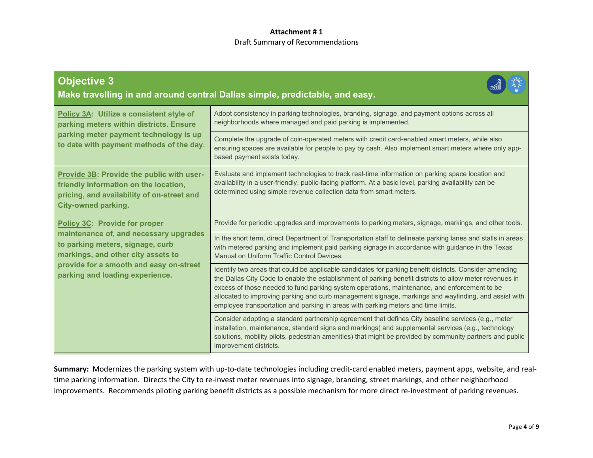| <b>Objective 3</b><br>Make travelling in and around central Dallas simple, predictable, and easy.                                                                                                                                      |                                                                                                                                                                                                                                                                                                                                                                                                                                                                                                                  |  |
|----------------------------------------------------------------------------------------------------------------------------------------------------------------------------------------------------------------------------------------|------------------------------------------------------------------------------------------------------------------------------------------------------------------------------------------------------------------------------------------------------------------------------------------------------------------------------------------------------------------------------------------------------------------------------------------------------------------------------------------------------------------|--|
| Policy 3A: Utilize a consistent style of<br>parking meters within districts. Ensure<br>parking meter payment technology is up<br>to date with payment methods of the day.                                                              | Adopt consistency in parking technologies, branding, signage, and payment options across all<br>neighborhoods where managed and paid parking is implemented.                                                                                                                                                                                                                                                                                                                                                     |  |
|                                                                                                                                                                                                                                        | Complete the upgrade of coin-operated meters with credit card-enabled smart meters, while also<br>ensuring spaces are available for people to pay by cash. Also implement smart meters where only app-<br>based payment exists today.                                                                                                                                                                                                                                                                            |  |
| Provide 3B: Provide the public with user-<br>friendly information on the location,<br>pricing, and availability of on-street and<br><b>City-owned parking.</b>                                                                         | Evaluate and implement technologies to track real-time information on parking space location and<br>availability in a user-friendly, public-facing platform. At a basic level, parking availability can be<br>determined using simple revenue collection data from smart meters.                                                                                                                                                                                                                                 |  |
| <b>Policy 3C: Provide for proper</b><br>maintenance of, and necessary upgrades<br>to parking meters, signage, curb<br>markings, and other city assets to<br>provide for a smooth and easy on-street<br>parking and loading experience. | Provide for periodic upgrades and improvements to parking meters, signage, markings, and other tools.                                                                                                                                                                                                                                                                                                                                                                                                            |  |
|                                                                                                                                                                                                                                        | In the short term, direct Department of Transportation staff to delineate parking lanes and stalls in areas<br>with metered parking and implement paid parking signage in accordance with guidance in the Texas<br>Manual on Uniform Traffic Control Devices.                                                                                                                                                                                                                                                    |  |
|                                                                                                                                                                                                                                        | Identify two areas that could be applicable candidates for parking benefit districts. Consider amending<br>the Dallas City Code to enable the establishment of parking benefit districts to allow meter revenues in<br>excess of those needed to fund parking system operations, maintenance, and enforcement to be<br>allocated to improving parking and curb management signage, markings and wayfinding, and assist with<br>employee transportation and parking in areas with parking meters and time limits. |  |
|                                                                                                                                                                                                                                        | Consider adopting a standard partnership agreement that defines City baseline services (e.g., meter<br>installation, maintenance, standard signs and markings) and supplemental services (e.g., technology<br>solutions, mobility pilots, pedestrian amenities) that might be provided by community partners and public<br>improvement districts.                                                                                                                                                                |  |

**Summary:** Modernizes the parking system with up-to-date technologies including credit-card enabled meters, payment apps, website, and realtime parking information. Directs the City to re-invest meter revenues into signage, branding, street markings, and other neighborhood improvements. Recommends piloting parking benefit districts as a possible mechanism for more direct re-investment of parking revenues.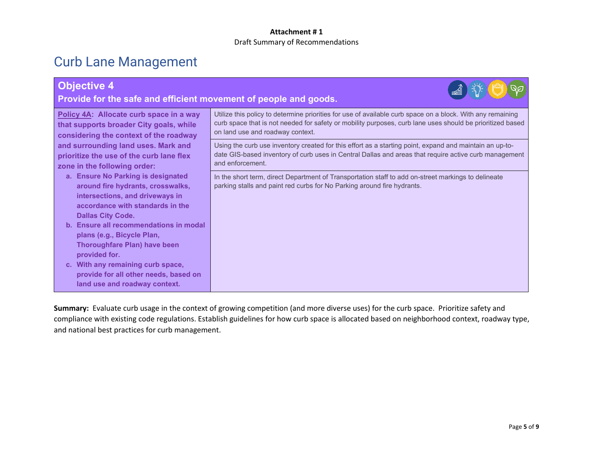# Curb Lane Management

| <b>Objective 4</b><br>Provide for the safe and efficient movement of people and goods.                                                         |                                                                                                                                                                                                                                                             |  |
|------------------------------------------------------------------------------------------------------------------------------------------------|-------------------------------------------------------------------------------------------------------------------------------------------------------------------------------------------------------------------------------------------------------------|--|
| Policy 4A: Allocate curb space in a way<br>that supports broader City goals, while<br>considering the context of the roadway                   | Utilize this policy to determine priorities for use of available curb space on a block. With any remaining<br>curb space that is not needed for safety or mobility purposes, curb lane uses should be prioritized based<br>on land use and roadway context. |  |
| and surrounding land uses. Mark and<br>prioritize the use of the curb lane flex<br>zone in the following order:                                | Using the curb use inventory created for this effort as a starting point, expand and maintain an up-to-<br>date GIS-based inventory of curb uses in Central Dallas and areas that require active curb management<br>and enforcement.                        |  |
| a. Ensure No Parking is designated<br>around fire hydrants, crosswalks,<br>intersections, and driveways in<br>accordance with standards in the | In the short term, direct Department of Transportation staff to add on-street markings to delineate<br>parking stalls and paint red curbs for No Parking around fire hydrants.                                                                              |  |
| <b>Dallas City Code.</b><br>b. Ensure all recommendations in modal                                                                             |                                                                                                                                                                                                                                                             |  |
| plans (e.g., Bicycle Plan,<br><b>Thoroughfare Plan) have been</b><br>provided for.                                                             |                                                                                                                                                                                                                                                             |  |
| c. With any remaining curb space,<br>provide for all other needs, based on<br>land use and roadway context.                                    |                                                                                                                                                                                                                                                             |  |

**Summary:** Evaluate curb usage in the context of growing competition (and more diverse uses) for the curb space. Prioritize safety and compliance with existing code regulations. Establish guidelines for how curb space is allocated based on neighborhood context, roadway type, and national best practices for curb management.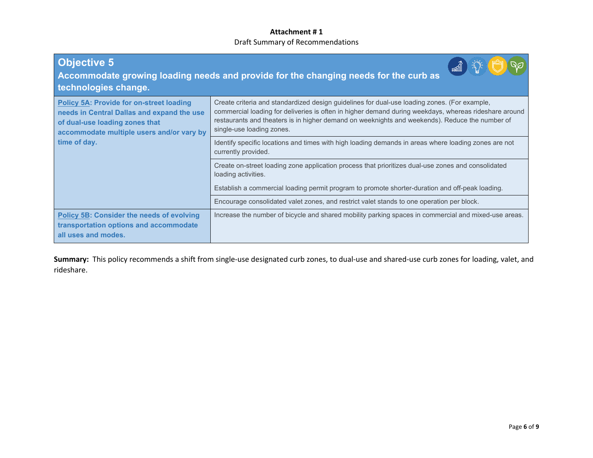| <b>Objective 5</b><br>Accommodate growing loading needs and provide for the changing needs for the curb as<br>technologies change.                                                           |                                                                                                                                                                                                                                                                                                                                      |  |
|----------------------------------------------------------------------------------------------------------------------------------------------------------------------------------------------|--------------------------------------------------------------------------------------------------------------------------------------------------------------------------------------------------------------------------------------------------------------------------------------------------------------------------------------|--|
| <b>Policy 5A: Provide for on-street loading</b><br>needs in Central Dallas and expand the use<br>of dual-use loading zones that<br>accommodate multiple users and/or vary by<br>time of day. | Create criteria and standardized design guidelines for dual-use loading zones. (For example,<br>commercial loading for deliveries is often in higher demand during weekdays, whereas rideshare around<br>restaurants and theaters is in higher demand on weeknights and weekends). Reduce the number of<br>single-use loading zones. |  |
|                                                                                                                                                                                              | Identify specific locations and times with high loading demands in areas where loading zones are not<br>currently provided.                                                                                                                                                                                                          |  |
|                                                                                                                                                                                              | Create on-street loading zone application process that prioritizes dual-use zones and consolidated<br>loading activities.                                                                                                                                                                                                            |  |
|                                                                                                                                                                                              | Establish a commercial loading permit program to promote shorter-duration and off-peak loading.                                                                                                                                                                                                                                      |  |
|                                                                                                                                                                                              | Encourage consolidated valet zones, and restrict valet stands to one operation per block.                                                                                                                                                                                                                                            |  |
| <b>Policy 5B: Consider the needs of evolving</b><br>transportation options and accommodate<br>all uses and modes.                                                                            | Increase the number of bicycle and shared mobility parking spaces in commercial and mixed-use areas.                                                                                                                                                                                                                                 |  |

**Summary:** This policy recommends a shift from single-use designated curb zones, to dual-use and shared-use curb zones for loading, valet, and rideshare.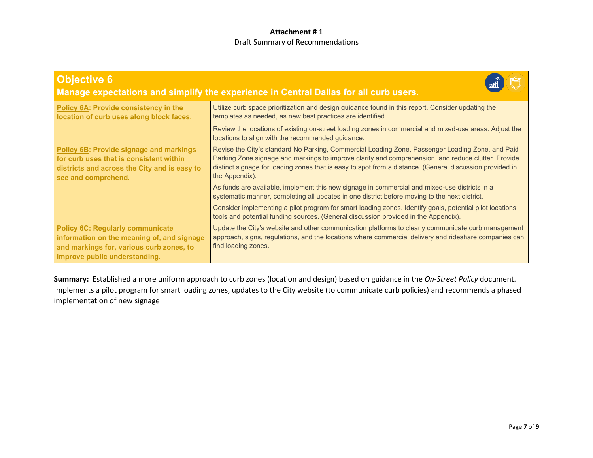| <b>Objective 6</b><br>Manage expectations and simplify the experience in Central Dallas for all curb users.                                                        |                                                                                                                                                                                                                                                                                                                                       |  |
|--------------------------------------------------------------------------------------------------------------------------------------------------------------------|---------------------------------------------------------------------------------------------------------------------------------------------------------------------------------------------------------------------------------------------------------------------------------------------------------------------------------------|--|
| Policy 6A: Provide consistency in the<br>location of curb uses along block faces.                                                                                  | Utilize curb space prioritization and design guidance found in this report. Consider updating the<br>templates as needed, as new best practices are identified.                                                                                                                                                                       |  |
|                                                                                                                                                                    | Review the locations of existing on-street loading zones in commercial and mixed-use areas. Adjust the<br>locations to align with the recommended guidance.                                                                                                                                                                           |  |
| <b>Policy 6B: Provide signage and markings</b><br>for curb uses that is consistent within<br>districts and across the City and is easy to<br>see and comprehend.   | Revise the City's standard No Parking, Commercial Loading Zone, Passenger Loading Zone, and Paid<br>Parking Zone signage and markings to improve clarity and comprehension, and reduce clutter. Provide<br>distinct signage for loading zones that is easy to spot from a distance. (General discussion provided in<br>the Appendix). |  |
|                                                                                                                                                                    | As funds are available, implement this new signage in commercial and mixed-use districts in a<br>systematic manner, completing all updates in one district before moving to the next district.                                                                                                                                        |  |
|                                                                                                                                                                    | Consider implementing a pilot program for smart loading zones. Identify goals, potential pilot locations,<br>tools and potential funding sources. (General discussion provided in the Appendix).                                                                                                                                      |  |
| <b>Policy 6C: Regularly communicate</b><br>information on the meaning of, and signage<br>and markings for, various curb zones, to<br>improve public understanding. | Update the City's website and other communication platforms to clearly communicate curb management<br>approach, signs, regulations, and the locations where commercial delivery and rideshare companies can<br>find loading zones.                                                                                                    |  |

**Summary:** Established a more uniform approach to curb zones (location and design) based on guidance in the *On-Street Policy* document. Implements a pilot program for smart loading zones, updates to the City website (to communicate curb policies) and recommends a phased implementation of new signage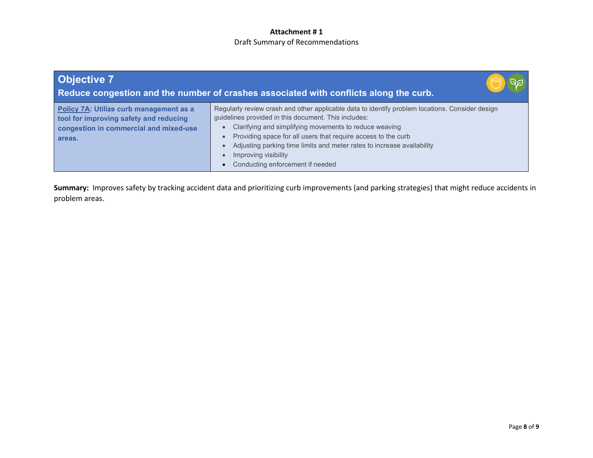| <b>Objective 7</b><br>Reduce congestion and the number of crashes associated with conflicts along the curb.                           |                                                                                                                                                                                                                                                                                                                                                                                                                          |
|---------------------------------------------------------------------------------------------------------------------------------------|--------------------------------------------------------------------------------------------------------------------------------------------------------------------------------------------------------------------------------------------------------------------------------------------------------------------------------------------------------------------------------------------------------------------------|
| Policy 7A: Utilize curb management as a<br>tool for improving safety and reducing<br>congestion in commercial and mixed-use<br>areas. | Regularly review crash and other applicable data to identify problem locations. Consider design<br>guidelines provided in this document. This includes:<br>Clarifying and simplifying movements to reduce weaving<br>Providing space for all users that require access to the curb<br>Adjusting parking time limits and meter rates to increase availability<br>Improving visibility<br>Conducting enforcement if needed |

**Summary:** Improves safety by tracking accident data and prioritizing curb improvements (and parking strategies) that might reduce accidents in problem areas.